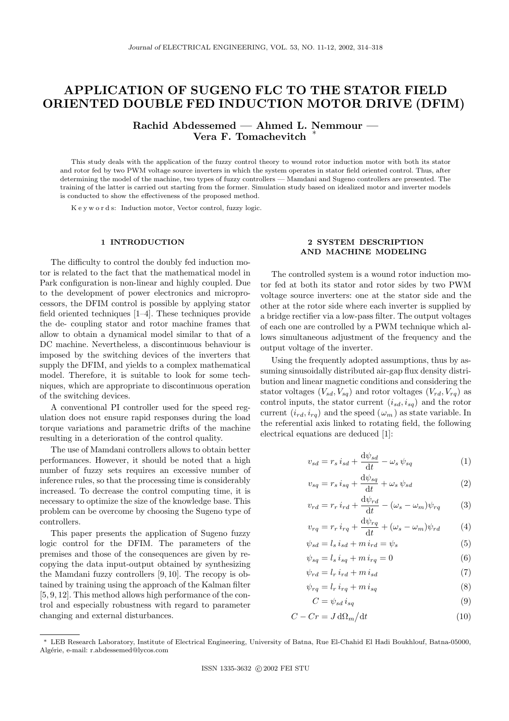# APPLICATION OF SUGENO FLC TO THE STATOR FIELD ORIENTED DOUBLE FED INDUCTION MOTOR DRIVE (DFIM)

Rachid Abdessemed — Ahmed L. Nemmour — Vera F. Tomachevitch

This study deals with the application of the fuzzy control theory to wound rotor induction motor with both its stator and rotor fed by two PWM voltage source inverters in which the system operates in stator field oriented control. Thus, after determining the model of the machine, two types of fuzzy controllers — Mamdani and Sugeno controllers are presented. The training of the latter is carried out starting from the former. Simulation study based on idealized motor and inverter models is conducted to show the effectiveness of the proposed method.

K e y w o r d s: Induction motor, Vector control, fuzzy logic.

# 1 INTRODUCTION

The difficulty to control the doubly fed induction motor is related to the fact that the mathematical model in Park configuration is non-linear and highly coupled. Due to the development of power electronics and microprocessors, the DFIM control is possible by applying stator field oriented techniques [1–4]. These techniques provide the de- coupling stator and rotor machine frames that allow to obtain a dynamical model similar to that of a DC machine. Nevertheless, a discontinuous behaviour is imposed by the switching devices of the inverters that supply the DFIM, and yields to a complex mathematical model. Therefore, it is suitable to look for some techniques, which are appropriate to discontinuous operation of the switching devices.

A conventional PI controller used for the speed regulation does not ensure rapid responses during the load torque variations and parametric drifts of the machine resulting in a deterioration of the control quality.

The use of Mamdani controllers allows to obtain better performances. However, it should be noted that a high number of fuzzy sets requires an excessive number of inference rules, so that the processing time is considerably increased. To decrease the control computing time, it is necessary to optimize the size of the knowledge base. This problem can be overcome by choosing the Sugeno type of controllers.

This paper presents the application of Sugeno fuzzy logic control for the DFIM. The parameters of the premises and those of the consequences are given by recopying the data input-output obtained by synthesizing the Mamdani fuzzy controllers [9, 10]. The recopy is obtained by training using the approach of the Kalman filter [5, 9, 12]. This method allows high performance of the control and especially robustness with regard to parameter changing and external disturbances.

# 2 SYSTEM DESCRIPTION AND MACHINE MODELING

The controlled system is a wound rotor induction motor fed at both its stator and rotor sides by two PWM voltage source inverters: one at the stator side and the other at the rotor side where each inverter is supplied by a bridge rectifier via a low-pass filter. The output voltages of each one are controlled by a PWM technique which allows simultaneous adjustment of the frequency and the output voltage of the inverter.

Using the frequently adopted assumptions, thus by assuming sinusoidally distributed air-gap flux density distribution and linear magnetic conditions and considering the stator voltages  $(V_{sd}, V_{sq})$  and rotor voltages  $(V_{rd}, V_{rq})$  as control inputs, the stator current  $(i_{sd}, i_{sq})$  and the rotor current  $(i_{rd}, i_{rq})$  and the speed  $(\omega_m)$  as state variable. In the referential axis linked to rotating field, the following electrical equations are deduced [1]:

$$
v_{sd} = r_s i_{sd} + \frac{\mathrm{d}\psi_{sd}}{\mathrm{d}t} - \omega_s \psi_{sq} \tag{1}
$$

$$
v_{sq} = r_s i_{sq} + \frac{\mathrm{d}\psi_{sq}}{\mathrm{d}t} + \omega_s \psi_{sd} \tag{2}
$$

$$
v_{rd} = r_r i_{rd} + \frac{\mathrm{d}\psi_{rd}}{\mathrm{d}t} - (\omega_s - \omega_m)\psi_{rq} \tag{3}
$$

$$
v_{rq} = r_r i_{rq} + \frac{\mathrm{d}\psi_{rq}}{\mathrm{d}t} + (\omega_s - \omega_m)\psi_{rd} \tag{4}
$$

$$
\psi_{sd} = l_s i_{sd} + m i_{rd} = \psi_s \tag{5}
$$

$$
\psi_{sq} = l_s \, i_{sq} + m \, i_{rq} = 0 \tag{6}
$$

$$
\psi_{rd} = l_r i_{rd} + m i_{sd} \tag{7}
$$

$$
\psi_{rq} = l_r i_{rq} + m i_{sq} \tag{8}
$$

$$
C = \psi_{sd} \, i_{sq} \tag{9}
$$

$$
C - Cr = J \, \mathrm{d}\Omega_m \big/ \mathrm{d}t \tag{10}
$$

<sup>∗</sup> LEB Research Laboratory, Institute of Electrical Engineering, University of Batna, Rue El-Chahid El Hadi Boukhlouf, Batna-05000, Algérie, e-mail: r.abdessemed@lycos.com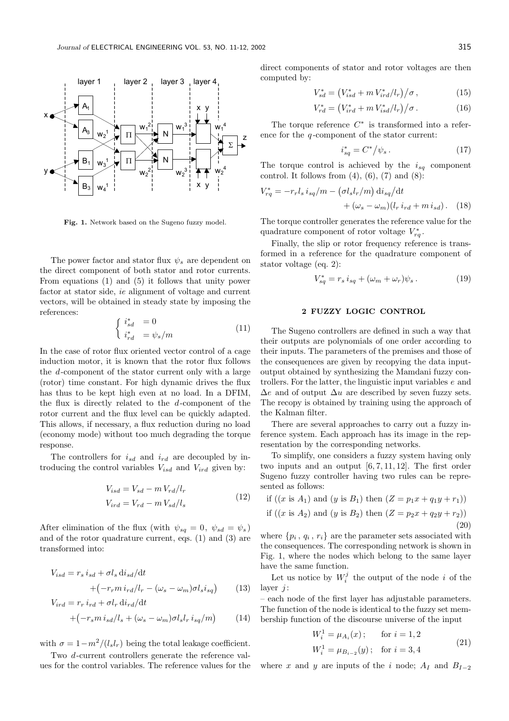

Fig. 1. Network based on the Sugeno fuzzy model.

The power factor and stator flux  $\psi_s$  are dependent on the direct component of both stator and rotor currents. From equations (1) and (5) it follows that unity power factor at stator side, ie alignment of voltage and current vectors, will be obtained in steady state by imposing the references:

$$
\begin{cases}\n i_{sd}^* = 0\\ \n i_{rd}^* = \psi_s/m\n\end{cases} \tag{11}
$$

In the case of rotor flux oriented vector control of a cage induction motor, it is known that the rotor flux follows the d-component of the stator current only with a large (rotor) time constant. For high dynamic drives the flux has thus to be kept high even at no load. In a DFIM, the flux is directly related to the d-component of the rotor current and the flux level can be quickly adapted. This allows, if necessary, a flux reduction during no load (economy mode) without too much degrading the torque response.

The controllers for  $i_{sd}$  and  $i_{rd}$  are decoupled by introducing the control variables  $V_{isd}$  and  $V_{ird}$  given by:

$$
V_{isd} = V_{sd} - m V_{rd} / l_r
$$
  
\n
$$
V_{ird} = V_{rd} - m V_{sd} / l_s
$$
\n(12)

After elimination of the flux (with  $\psi_{sq} = 0, \ \psi_{sd} = \psi_s$ ) and of the rotor quadrature current, eqs. (1) and (3) are transformed into:

$$
V_{isd} = r_s i_{sd} + \sigma l_s \, \text{d}i_{sd} / \text{d}t + \left(-r_r m \, i_{rd} / l_r - (\omega_s - \omega_m) \sigma l_s i_{sq}\right) \tag{13}
$$

$$
V_{ird} = r_r i_{rd} + \sigma l_r \, \text{d}i_{rd} / \text{d}t + \left( -r_s m \, i_{sd} / l_s + (\omega_s - \omega_m) \sigma l_s l_r \, i_{sq} / m \right)
$$
 (14)

with  $\sigma = 1 - m^2/(l_s l_r)$  being the total leakage coefficient.

Two d-current controllers generate the reference values for the control variables. The reference values for the direct components of stator and rotor voltages are then computed by:

$$
V_{sd}^* = (V_{isd}^* + m V_{ird}^* / l_r) / \sigma, \qquad (15)
$$

$$
V_{rd}^* = (V_{ird}^* + m V_{isd}^*/l_r)/\sigma.
$$
 (16)

The torque reference  $C^*$  is transformed into a reference for the  $q$ -component of the stator current:

$$
i_{sq}^* = C^* / \psi_s \,. \tag{17}
$$

The torque control is achieved by the  $i_{sq}$  component control. It follows from  $(4)$ ,  $(6)$ ,  $(7)$  and  $(8)$ :

$$
V_{rq}^* = -r_r l_s i_{sq}/m - \left(\sigma l_s l_r/m\right) \mathrm{d}i_{sq}/\mathrm{d}t + \left(\omega_s - \omega_m\right) \left(l_r i_{rd} + m i_{sd}\right). \tag{18}
$$

The torque controller generates the reference value for the quadrature component of rotor voltage  $V_{rq}^*$ .

Finally, the slip or rotor frequency reference is transformed in a reference for the quadrature component of stator voltage (eq. 2):

$$
V_{sq}^* = r_s i_{sq} + (\omega_m + \omega_r)\psi_s. \tag{19}
$$

#### 2 FUZZY LOGIC CONTROL

The Sugeno controllers are defined in such a way that their outputs are polynomials of one order according to their inputs. The parameters of the premises and those of the consequences are given by recopying the data inputoutput obtained by synthesizing the Mamdani fuzzy controllers. For the latter, the linguistic input variables e and  $\Delta e$  and of output  $\Delta u$  are described by seven fuzzy sets. The recopy is obtained by training using the approach of the Kalman filter.

There are several approaches to carry out a fuzzy inference system. Each approach has its image in the representation by the corresponding networks.

To simplify, one considers a fuzzy system having only two inputs and an output [6, 7, 11, 12]. The first order Sugeno fuzzy controller having two rules can be represented as follows:

if  $((x \text{ is } A_1)$  and  $(y \text{ is } B_1)$  then  $(Z = p_1x + q_1y + r_1))$ if  $((x \text{ is } A_2) \text{ and } (y \text{ is } B_2) \text{ then } (Z = p_2x + q_2y + r_2))$ (20)

where  $\{p_i, q_i, r_i\}$  are the parameter sets associated with the consequences. The corresponding network is shown in Fig. 1, where the nodes which belong to the same layer have the same function.

Let us notice by  $W_i^j$  the output of the node i of the layer  $i$ :

– each node of the first layer has adjustable parameters. The function of the node is identical to the fuzzy set membership function of the discourse universe of the input

$$
W_i^1 = \mu_{A_i}(x); \quad \text{for } i = 1, 2
$$
  

$$
W_i^1 = \mu_{B_{i-2}}(y); \quad \text{for } i = 3, 4
$$
 (21)

where x and y are inputs of the i node;  $A_I$  and  $B_{I-2}$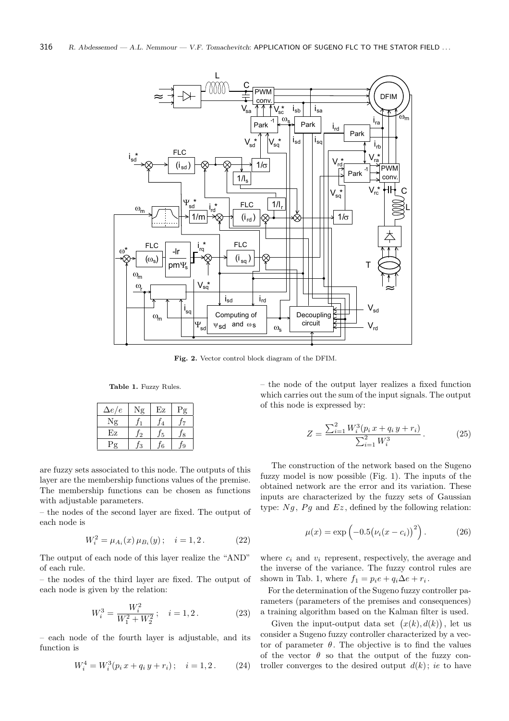

Fig. 2. Vector control block diagram of the DFIM.

Table 1. Fuzzy Rules.

| $\Delta e/e$ | $^{\mathsf{T}}\mathbf{o}$ | Εz | g |
|--------------|---------------------------|----|---|
| $\sigma$     |                           |    |   |
| Εz           | $\mathbf{c}$              | 5  |   |
| $\sigma$     | 9                         | հ  |   |

are fuzzy sets associated to this node. The outputs of this layer are the membership functions values of the premise. The membership functions can be chosen as functions with adjustable parameters.

– the nodes of the second layer are fixed. The output of each node is

$$
W_i^2 = \mu_{A_i}(x) \mu_{B_i}(y); \quad i = 1, 2. \tag{22}
$$

The output of each node of this layer realize the "AND" of each rule.

– the nodes of the third layer are fixed. The output of each node is given by the relation:

$$
W_i^3 = \frac{W_i^2}{W_1^2 + W_2^2}; \quad i = 1, 2. \tag{23}
$$

– each node of the fourth layer is adjustable, and its function is

$$
W_i^4 = W_i^3(p_i x + q_i y + r_i); \quad i = 1, 2.
$$
 (24)

– the node of the output layer realizes a fixed function which carries out the sum of the input signals. The output of this node is expressed by:

$$
Z = \frac{\sum_{i=1}^{2} W_i^3 (p_i x + q_i y + r_i)}{\sum_{i=1}^{2} W_i^3}.
$$
 (25)

The construction of the network based on the Sugeno fuzzy model is now possible (Fig. 1). The inputs of the obtained network are the error and its variation. These inputs are characterized by the fuzzy sets of Gaussian type:  $Ng$ ,  $Pg$  and  $Ez$ , defined by the following relation:

$$
\mu(x) = \exp\left(-0.5(\nu_i(x - c_i))^2\right).
$$
 (26)

where  $c_i$  and  $v_i$  represent, respectively, the average and the inverse of the variance. The fuzzy control rules are shown in Tab. 1, where  $f_1 = p_i e + q_i \Delta e + r_i$ .

For the determination of the Sugeno fuzzy controller parameters (parameters of the premises and consequences) a training algorithm based on the Kalman filter is used.

Given the input-output data set  $(x(k), d(k))$ , let us consider a Sugeno fuzzy controller characterized by a vector of parameter  $\theta$ . The objective is to find the values of the vector  $\theta$  so that the output of the fuzzy controller converges to the desired output  $d(k)$ ; ie to have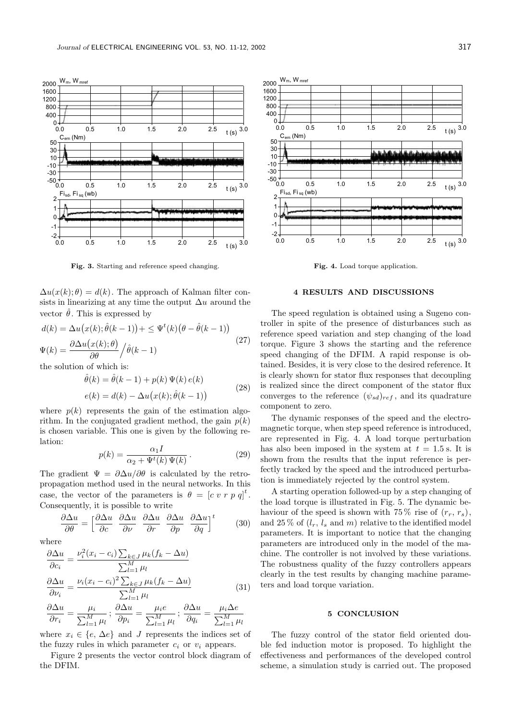

Fig. 3. Starting and reference speed changing.

 $\Delta u(x(k); \theta) = d(k)$ . The approach of Kalman filter consists in linearizing at any time the output  $\Delta u$  around the vector  $\hat{\theta}$ . This is expressed by

$$
d(k) = \Delta u(x(k); \hat{\theta}(k-1)) + \leq \Psi^t(k) (\theta - \hat{\theta}(k-1))
$$
  

$$
\Psi(k) = \frac{\partial \Delta u(x(k); \theta)}{\partial \theta} / \hat{\theta}(k-1)
$$
 (27)

the solution of which is:

$$
\hat{\theta}(k) = \hat{\theta}(k-1) + p(k) \Psi(k) e(k)
$$
  
\n
$$
e(k) = d(k) - \Delta u(x(k); \hat{\theta}(k-1))
$$
\n(28)

where  $p(k)$  represents the gain of the estimation algorithm. In the conjugated gradient method, the gain  $p(k)$ is chosen variable. This one is given by the following relation:

$$
p(k) = \frac{\alpha_1 I}{\alpha_2 + \Psi^t(k)\,\Psi(k)}.
$$
\n(29)

The gradient  $\Psi = \partial \Delta u / \partial \theta$  is calculated by the retropropagation method used in the neural networks. In this case, the vector of the parameters is  $\theta = [c \, v \, r \, p \, q]^t$ . Consequently, it is possible to write

$$
\frac{\partial \Delta u}{\partial \theta} = \left[ \frac{\partial \Delta u}{\partial c} \frac{\partial \Delta u}{\partial \nu} \frac{\partial \Delta u}{\partial r} \frac{\partial \Delta u}{\partial p} \frac{\partial \Delta u}{\partial q} \right]^t \tag{30}
$$

where

$$
\frac{\partial \Delta u}{\partial c_i} = \frac{\nu_i^2 (x_i - c_i) \sum_{k \in J} \mu_k (f_k - \Delta u)}{\sum_{l=1}^M \mu_l}
$$

$$
\frac{\partial \Delta u}{\partial \nu_i} = \frac{\nu_i (x_i - c_i)^2 \sum_{k \in J} \mu_k (f_k - \Delta u)}{\sum_{l=1}^M \mu_l}
$$
(31)

$$
\frac{\partial \Delta u}{\partial r_i} = \frac{\mu_i}{\sum_{l=1}^M \mu_l}; \frac{\partial \Delta u}{\partial p_i} = \frac{\mu_i e}{\sum_{l=1}^M \mu_l}; \frac{\partial \Delta u}{\partial q_i} = \frac{\mu_i \Delta e}{\sum_{l=1}^M \mu_l}
$$

where  $x_i \in \{e, \Delta e\}$  and J represents the indices set of the fuzzy rules in which parameter  $c_i$  or  $v_i$  appears.

Figure 2 presents the vector control block diagram of the DFIM.



Fig. 4. Load torque application.

# 4 RESULTS AND DISCUSSIONS

The speed regulation is obtained using a Sugeno controller in spite of the presence of disturbances such as reference speed variation and step changing of the load torque. Figure 3 shows the starting and the reference speed changing of the DFIM. A rapid response is obtained. Besides, it is very close to the desired reference. It is clearly shown for stator flux responses that decoupling is realized since the direct component of the stator flux converges to the reference  $(\psi_{sd})_{ref}$ , and its quadrature component to zero.

The dynamic responses of the speed and the electromagnetic torque, when step speed reference is introduced, are represented in Fig. 4. A load torque perturbation has also been imposed in the system at  $t = 1.5$  s. It is shown from the results that the input reference is perfectly tracked by the speed and the introduced perturbation is immediately rejected by the control system.

A starting operation followed-up by a step changing of the load torque is illustrated in Fig. 5. The dynamic behaviour of the speed is shown with 75% rise of  $(r_r, r_s)$ , and 25% of  $(l_r, l_s, \text{and } m)$  relative to the identified model parameters. It is important to notice that the changing parameters are introduced only in the model of the machine. The controller is not involved by these variations. The robustness quality of the fuzzy controllers appears clearly in the test results by changing machine parameters and load torque variation.

#### 5 CONCLUSION

The fuzzy control of the stator field oriented double fed induction motor is proposed. To highlight the effectiveness and performances of the developed control scheme, a simulation study is carried out. The proposed